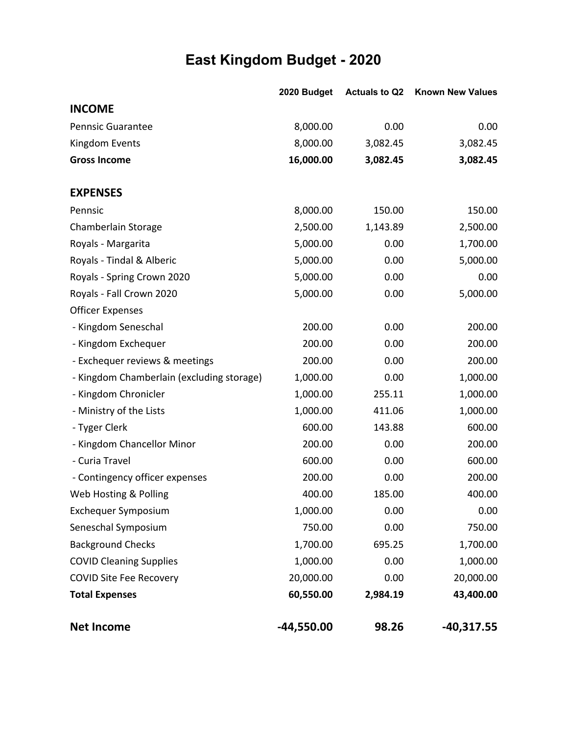#### **East Kingdom Budget - 2020**

|                                           | 2020 Budget  | <b>Actuals to Q2</b> | <b>Known New Values</b> |
|-------------------------------------------|--------------|----------------------|-------------------------|
| <b>INCOME</b>                             |              |                      |                         |
| <b>Pennsic Guarantee</b>                  | 8,000.00     | 0.00                 | 0.00                    |
| Kingdom Events                            | 8,000.00     | 3,082.45             | 3,082.45                |
| <b>Gross Income</b>                       | 16,000.00    | 3,082.45             | 3,082.45                |
| <b>EXPENSES</b>                           |              |                      |                         |
| Pennsic                                   | 8,000.00     | 150.00               | 150.00                  |
| Chamberlain Storage                       | 2,500.00     | 1,143.89             | 2,500.00                |
| Royals - Margarita                        | 5,000.00     | 0.00                 | 1,700.00                |
| Royals - Tindal & Alberic                 | 5,000.00     | 0.00                 | 5,000.00                |
| Royals - Spring Crown 2020                | 5,000.00     | 0.00                 | 0.00                    |
| Royals - Fall Crown 2020                  | 5,000.00     | 0.00                 | 5,000.00                |
| <b>Officer Expenses</b>                   |              |                      |                         |
| - Kingdom Seneschal                       | 200.00       | 0.00                 | 200.00                  |
| - Kingdom Exchequer                       | 200.00       | 0.00                 | 200.00                  |
| - Exchequer reviews & meetings            | 200.00       | 0.00                 | 200.00                  |
| - Kingdom Chamberlain (excluding storage) | 1,000.00     | 0.00                 | 1,000.00                |
| - Kingdom Chronicler                      | 1,000.00     | 255.11               | 1,000.00                |
| - Ministry of the Lists                   | 1,000.00     | 411.06               | 1,000.00                |
| - Tyger Clerk                             | 600.00       | 143.88               | 600.00                  |
| - Kingdom Chancellor Minor                | 200.00       | 0.00                 | 200.00                  |
| - Curia Travel                            | 600.00       | 0.00                 | 600.00                  |
| - Contingency officer expenses            | 200.00       | 0.00                 | 200.00                  |
| Web Hosting & Polling                     | 400.00       | 185.00               | 400.00                  |
| <b>Exchequer Symposium</b>                | 1,000.00     | 0.00                 | 0.00                    |
| Seneschal Symposium                       | 750.00       | 0.00                 | 750.00                  |
| <b>Background Checks</b>                  | 1,700.00     | 695.25               | 1,700.00                |
| <b>COVID Cleaning Supplies</b>            | 1,000.00     | 0.00                 | 1,000.00                |
| <b>COVID Site Fee Recovery</b>            | 20,000.00    | 0.00                 | 20,000.00               |
| <b>Total Expenses</b>                     | 60,550.00    | 2,984.19             | 43,400.00               |
| <b>Net Income</b>                         | $-44,550.00$ | 98.26                | $-40,317.55$            |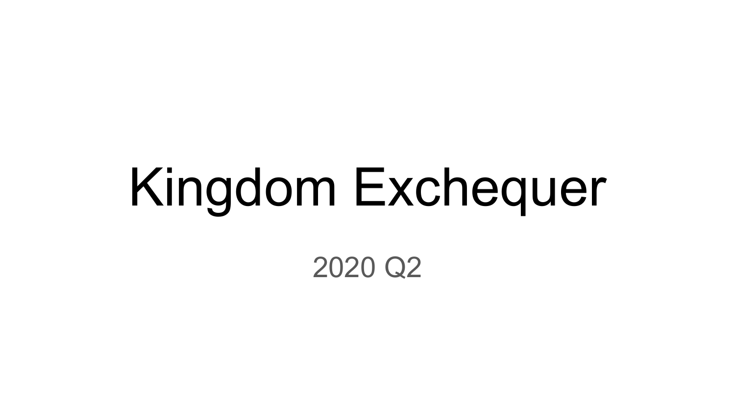# Kingdom Exchequer

2020 Q2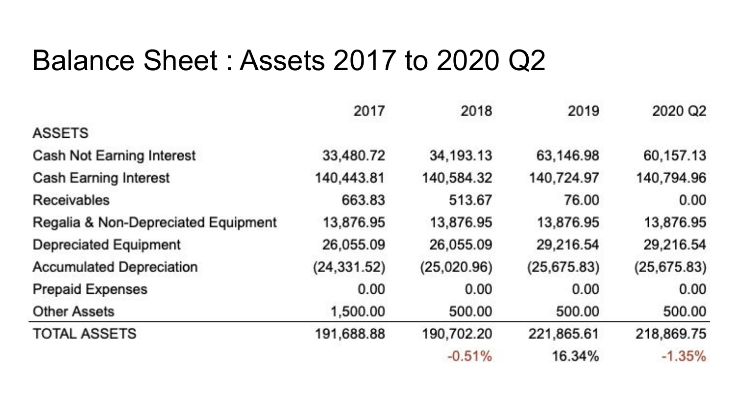#### Balance Sheet : Assets 2017 to 2020 Q2

|                                     | 2017         | 2018        | 2019         | 2020 Q2      |
|-------------------------------------|--------------|-------------|--------------|--------------|
| <b>ASSETS</b>                       |              |             |              |              |
| Cash Not Earning Interest           | 33,480.72    | 34, 193. 13 | 63,146.98    | 60,157.13    |
| <b>Cash Earning Interest</b>        | 140,443.81   | 140,584.32  | 140,724.97   | 140,794.96   |
| Receivables                         | 663.83       | 513.67      | 76.00        | 0.00         |
| Regalia & Non-Depreciated Equipment | 13,876.95    | 13,876.95   | 13,876.95    | 13,876.95    |
| <b>Depreciated Equipment</b>        | 26,055.09    | 26,055.09   | 29,216.54    | 29,216.54    |
| <b>Accumulated Depreciation</b>     | (24, 331.52) | (25,020.96) | (25, 675.83) | (25, 675.83) |
| <b>Prepaid Expenses</b>             | 0.00         | 0.00        | 0.00         | 0.00         |
| <b>Other Assets</b>                 | 1,500.00     | 500.00      | 500.00       | 500.00       |
| <b>TOTAL ASSETS</b>                 | 191,688.88   | 190,702.20  | 221,865.61   | 218,869.75   |
|                                     |              | $-0.51%$    | 16.34%       | $-1.35%$     |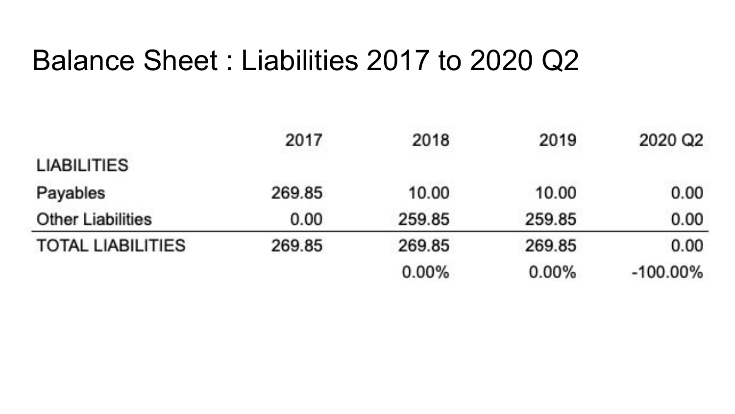#### Balance Sheet : Liabilities 2017 to 2020 Q2

|                          | 2017   | 2018     | 2019     | 2020 Q2     |
|--------------------------|--------|----------|----------|-------------|
| <b>LIABILITIES</b>       |        |          |          |             |
| Payables                 | 269.85 | 10.00    | 10.00    | 0.00        |
| <b>Other Liabilities</b> | 0.00   | 259.85   | 259.85   | 0.00        |
| <b>TOTAL LIABILITIES</b> | 269.85 | 269.85   | 269.85   | 0.00        |
|                          |        | $0.00\%$ | $0.00\%$ | $-100.00\%$ |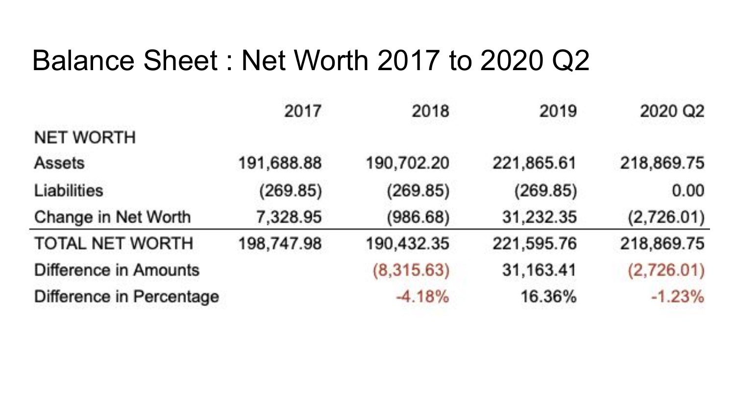#### Balance Sheet : Net Worth 2017 to 2020 Q2

|                          | 2017       | 2018       | 2019       | 2020 Q2    |
|--------------------------|------------|------------|------------|------------|
| <b>NET WORTH</b>         |            |            |            |            |
| Assets                   | 191,688.88 | 190,702.20 | 221,865.61 | 218,869.75 |
| Liabilities              | (269.85)   | (269.85)   | (269.85)   | 0.00       |
| Change in Net Worth      | 7,328.95   | (986.68)   | 31,232.35  | (2,726.01) |
| TOTAL NET WORTH          | 198,747.98 | 190,432.35 | 221,595.76 | 218,869.75 |
| Difference in Amounts    |            | (8,315.63) | 31,163.41  | (2,726.01) |
| Difference in Percentage |            | $-4.18%$   | 16.36%     | $-1.23%$   |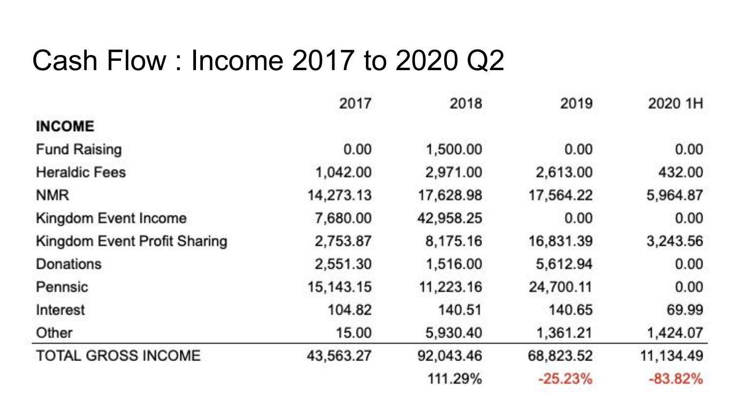#### Cash Flow : Income 2017 to 2020 Q2

|                              | 2017        | 2018      | 2019      | 2020 1H   |
|------------------------------|-------------|-----------|-----------|-----------|
| <b>INCOME</b>                |             |           |           |           |
| <b>Fund Raising</b>          | 0.00        | 1,500.00  | 0.00      | 0.00      |
| <b>Heraldic Fees</b>         | 1,042.00    | 2,971.00  | 2,613.00  | 432.00    |
| <b>NMR</b>                   | 14,273.13   | 17,628.98 | 17,564.22 | 5,964.87  |
| Kingdom Event Income         | 7,680.00    | 42,958.25 | 0.00      | 0.00      |
| Kingdom Event Profit Sharing | 2,753.87    | 8,175.16  | 16,831.39 | 3,243.56  |
| <b>Donations</b>             | 2,551.30    | 1,516.00  | 5,612.94  | 0.00      |
| Pennsic                      | 15, 143. 15 | 11,223.16 | 24,700.11 | 0.00      |
| Interest                     | 104.82      | 140.51    | 140.65    | 69.99     |
| Other                        | 15.00       | 5,930.40  | 1,361.21  | 1,424.07  |
| <b>TOTAL GROSS INCOME</b>    | 43,563.27   | 92,043.46 | 68,823.52 | 11,134.49 |
|                              |             | 111.29%   | $-25.23%$ | $-83.82%$ |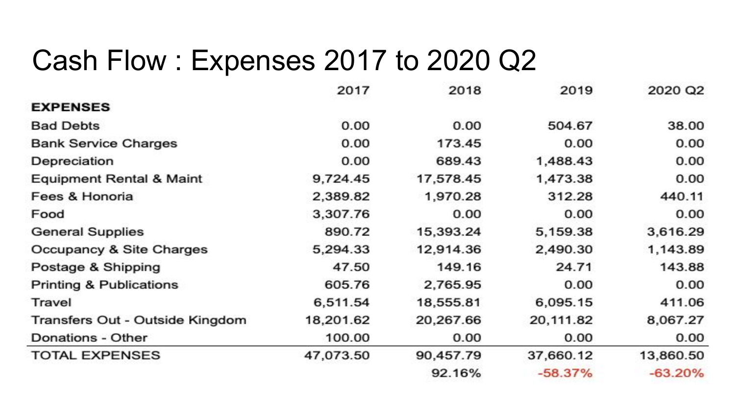#### Cash Flow : Expenses 2017 to 2020 Q2

|                                     | 2017      | 2018      | 2019      | 2020 Q2   |
|-------------------------------------|-----------|-----------|-----------|-----------|
| <b>EXPENSES</b>                     |           |           |           |           |
| <b>Bad Debts</b>                    | 0.00      | 0.00      | 504.67    | 38.00     |
| <b>Bank Service Charges</b>         | 0.00      | 173.45    | 0.00      | 0.00      |
| Depreciation                        | 0.00      | 689.43    | 1,488.43  | 0.00      |
| <b>Equipment Rental &amp; Maint</b> | 9,724.45  | 17,578.45 | 1,473.38  | 0.00      |
| Fees & Honoria                      | 2,389.82  | 1,970.28  | 312.28    | 440.11    |
| Food                                | 3,307.76  | 0.00      | 0.00      | 0.00      |
| <b>General Supplies</b>             | 890.72    | 15,393.24 | 5,159.38  | 3,616.29  |
| Occupancy & Site Charges            | 5,294.33  | 12,914.36 | 2,490.30  | 1,143.89  |
| Postage & Shipping                  | 47.50     | 149.16    | 24.71     | 143.88    |
| <b>Printing &amp; Publications</b>  | 605.76    | 2,765.95  | 0.00      | 0.00      |
| Travel                              | 6,511.54  | 18,555.81 | 6,095.15  | 411.06    |
| Transfers Out - Outside Kingdom     | 18,201.62 | 20,267.66 | 20,111.82 | 8,067.27  |
| Donations - Other                   | 100.00    | 0.00      | 0.00      | 0.00      |
| <b>TOTAL EXPENSES</b>               | 47,073.50 | 90,457.79 | 37,660.12 | 13,860.50 |
|                                     |           | 92.16%    | $-58.37%$ | $-63.20%$ |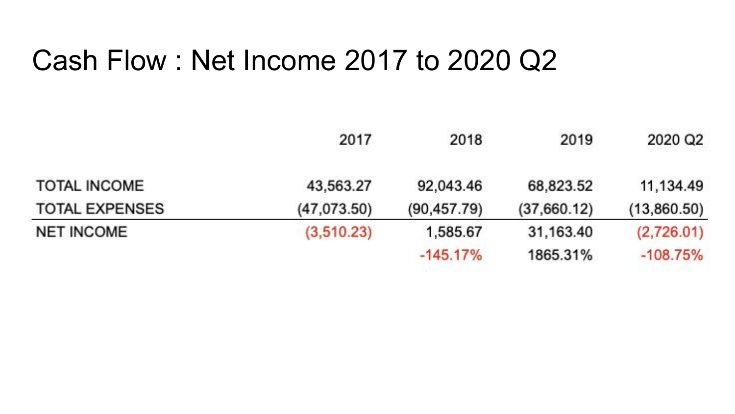#### Cash Flow : Net Income 2017 to 2020 Q2

|                       | 2017        | 2018         | 2019        | 2020 Q2     |
|-----------------------|-------------|--------------|-------------|-------------|
| <b>TOTAL INCOME</b>   | 43,563.27   | 92,043.46    | 68,823.52   | 11,134.49   |
| <b>TOTAL EXPENSES</b> | (47,073.50) | (90, 457.79) | (37,660.12) | (13,860.50) |
| <b>NET INCOME</b>     | (3,510.23)  | 1,585.67     | 31,163.40   | (2,726.01)  |
|                       |             | $-145.17%$   | 1865.31%    | $-108.75%$  |
|                       |             |              |             |             |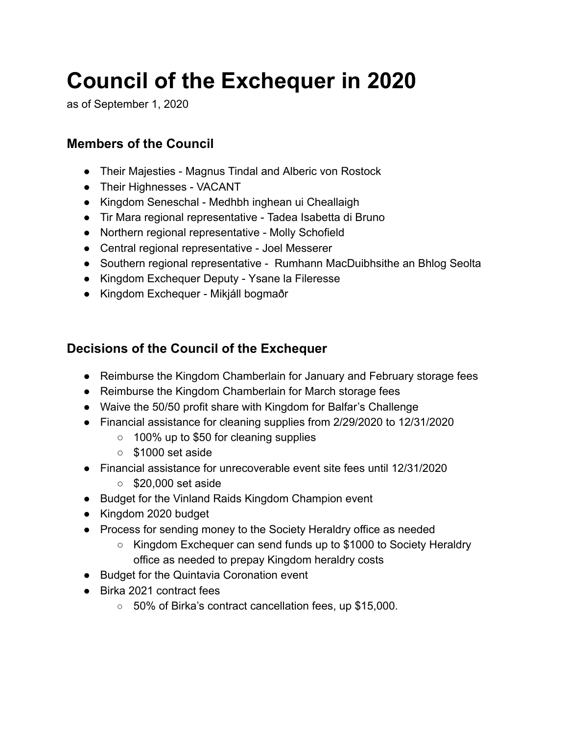## **Council of the Exchequer in 2020**

as of September 1, 2020

#### **Members of the Council**

- Their Majesties Magnus Tindal and Alberic von Rostock
- Their Highnesses VACANT
- Kingdom Seneschal Medhbh inghean ui Cheallaigh
- Tir Mara regional representative Tadea Isabetta di Bruno
- Northern regional representative Molly Schofield
- Central regional representative Joel Messerer
- Southern regional representative Rumhann MacDuibhsithe an Bhlog Seolta
- Kingdom Exchequer Deputy Ysane la Fileresse
- Kingdom Exchequer Mikjáll bogmaðr

#### **Decisions of the Council of the Exchequer**

- Reimburse the Kingdom Chamberlain for January and February storage fees
- Reimburse the Kingdom Chamberlain for March storage fees
- Waive the 50/50 profit share with Kingdom for Balfar's Challenge
- Financial assistance for cleaning supplies from 2/29/2020 to 12/31/2020
	- 100% up to \$50 for cleaning supplies
	- \$1000 set aside
- Financial assistance for unrecoverable event site fees until 12/31/2020
	- \$20,000 set aside
- Budget for the Vinland Raids Kingdom Champion event
- Kingdom 2020 budget
- Process for sending money to the Society Heraldry office as needed
	- Kingdom Exchequer can send funds up to \$1000 to Society Heraldry office as needed to prepay Kingdom heraldry costs
- Budget for the Quintavia Coronation event
- Birka 2021 contract fees
	- 50% of Birka's contract cancellation fees, up \$15,000.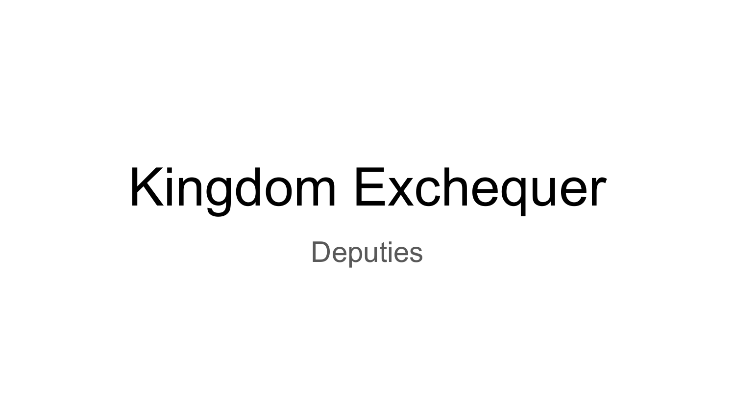## Kingdom Exchequer **Deputies**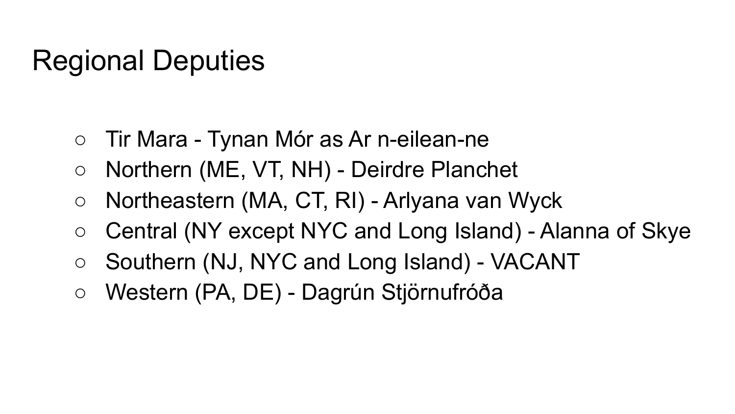### Regional Deputies

- Tir Mara Tynan Mór as Ar n-eilean-ne
- Northern (ME, VT, NH) Deirdre Planchet
- Northeastern (MA, CT, RI) Arlyana van Wyck
- Central (NY except NYC and Long Island) Alanna of Skye
- Southern (NJ, NYC and Long Island) VACANT
- Western (PA, DE) Dagrún Stjörnufróða